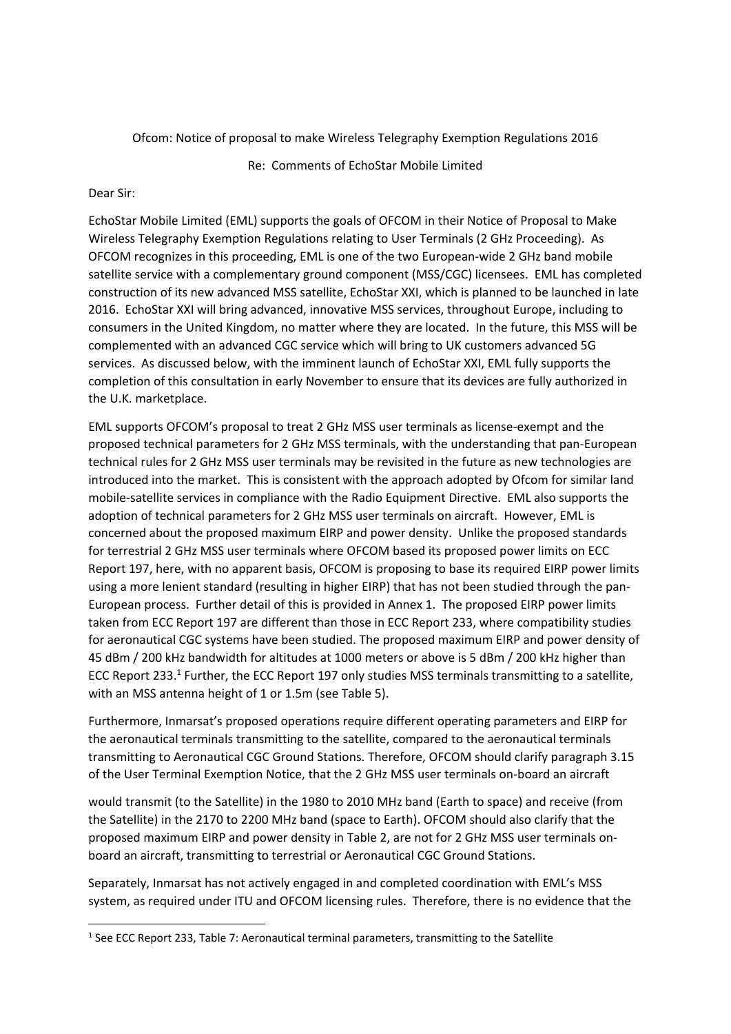### Ofcom: Notice of proposal to make Wireless Telegraphy Exemption Regulations 2016

Re: Comments of EchoStar Mobile Limited

## Dear Sir:

-

EchoStar Mobile Limited (EML) supports the goals of OFCOM in their Notice of Proposal to Make Wireless Telegraphy Exemption Regulations relating to User Terminals (2 GHz Proceeding). As OFCOM recognizes in this proceeding, EML is one of the two European‐wide 2 GHz band mobile satellite service with a complementary ground component (MSS/CGC) licensees. EML has completed construction of its new advanced MSS satellite, EchoStar XXI, which is planned to be launched in late 2016. EchoStar XXI will bring advanced, innovative MSS services, throughout Europe, including to consumers in the United Kingdom, no matter where they are located. In the future, this MSS will be complemented with an advanced CGC service which will bring to UK customers advanced 5G services. As discussed below, with the imminent launch of EchoStar XXI, EML fully supports the completion of this consultation in early November to ensure that its devices are fully authorized in the U.K. marketplace.

EML supports OFCOM's proposal to treat 2 GHz MSS user terminals as license‐exempt and the proposed technical parameters for 2 GHz MSS terminals, with the understanding that pan‐European technical rules for 2 GHz MSS user terminals may be revisited in the future as new technologies are introduced into the market. This is consistent with the approach adopted by Ofcom for similar land mobile‐satellite services in compliance with the Radio Equipment Directive. EML also supports the adoption of technical parameters for 2 GHz MSS user terminals on aircraft. However, EML is concerned about the proposed maximum EIRP and power density. Unlike the proposed standards for terrestrial 2 GHz MSS user terminals where OFCOM based its proposed power limits on ECC Report 197, here, with no apparent basis, OFCOM is proposing to base its required EIRP power limits using a more lenient standard (resulting in higher EIRP) that has not been studied through the pan‐ European process. Further detail of this is provided in Annex 1. The proposed EIRP power limits taken from ECC Report 197 are different than those in ECC Report 233, where compatibility studies for aeronautical CGC systems have been studied. The proposed maximum EIRP and power density of 45 dBm / 200 kHz bandwidth for altitudes at 1000 meters or above is 5 dBm / 200 kHz higher than ECC Report 233.<sup>1</sup> Further, the ECC Report 197 only studies MSS terminals transmitting to a satellite, with an MSS antenna height of 1 or 1.5m (see Table 5).

Furthermore, Inmarsat's proposed operations require different operating parameters and EIRP for the aeronautical terminals transmitting to the satellite, compared to the aeronautical terminals transmitting to Aeronautical CGC Ground Stations. Therefore, OFCOM should clarify paragraph 3.15 of the User Terminal Exemption Notice, that the 2 GHz MSS user terminals on‐board an aircraft

would transmit (to the Satellite) in the 1980 to 2010 MHz band (Earth to space) and receive (from the Satellite) in the 2170 to 2200 MHz band (space to Earth). OFCOM should also clarify that the proposed maximum EIRP and power density in Table 2, are not for 2 GHz MSS user terminals on‐ board an aircraft, transmitting to terrestrial or Aeronautical CGC Ground Stations.

Separately, Inmarsat has not actively engaged in and completed coordination with EML's MSS system, as required under ITU and OFCOM licensing rules. Therefore, there is no evidence that the

<sup>&</sup>lt;sup>1</sup> See ECC Report 233, Table 7: Aeronautical terminal parameters, transmitting to the Satellite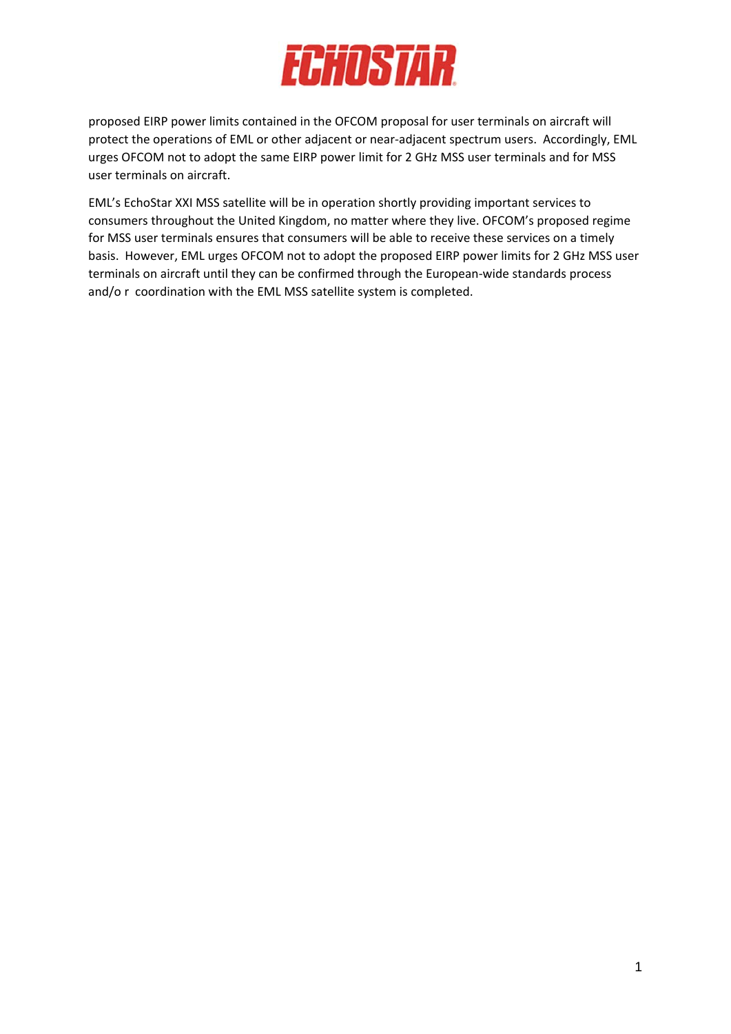

proposed EIRP power limits contained in the OFCOM proposal for user terminals on aircraft will protect the operations of EML or other adjacent or near-adjacent spectrum users. Accordingly, EML urges OFCOM not to adopt the same EIRP power limit for 2 GHz MSS user terminals and for MSS user terminals on aircraft.

EML's EchoStar XXI MSS satellite will be in operation shortly providing important services to consumers throughout the United Kingdom, no matter where they live. OFCOM's proposed regime for MSS user terminals ensures that consumers will be able to receive these services on a timely basis. However, EML urges OFCOM not to adopt the proposed EIRP power limits for 2 GHz MSS user terminals on aircraft until they can be confirmed through the European‐wide standards process and/o r coordination with the EML MSS satellite system is completed.